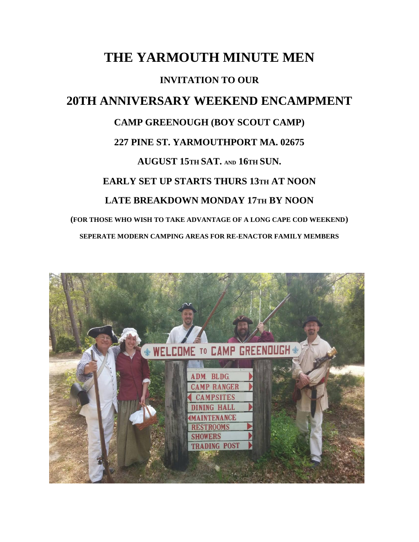## **THE YARMOUTH MINUTE MEN INVITATION TO OUR 20TH ANNIVERSARY WEEKEND ENCAMPMENT CAMP GREENOUGH (BOY SCOUT CAMP) 227 PINE ST. YARMOUTHPORT MA. 02675 AUGUST 15TH SAT. AND 16TH SUN. EARLY SET UP STARTS THURS 13TH AT NOON LATE BREAKDOWN MONDAY 17TH BY NOON (FOR THOSE WHO WISH TO TAKE ADVANTAGE OF A LONG CAPE COD WEEKEND) SEPERATE MODERN CAMPING AREAS FOR RE-ENACTOR FAMILY MEMBERS**